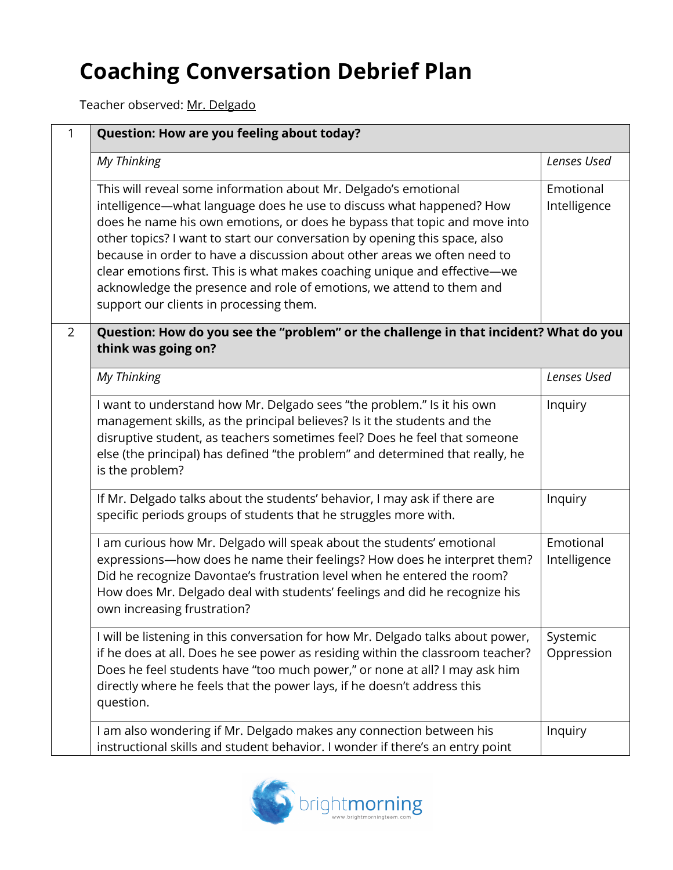## **Coaching Conversation Debrief Plan**

Teacher observed: Mr. Delgado

| 1              | Question: How are you feeling about today?                                                                                                                                                                                                                                                                                                                                                                                                                                                                                                                                     |                           |  |
|----------------|--------------------------------------------------------------------------------------------------------------------------------------------------------------------------------------------------------------------------------------------------------------------------------------------------------------------------------------------------------------------------------------------------------------------------------------------------------------------------------------------------------------------------------------------------------------------------------|---------------------------|--|
|                | My Thinking                                                                                                                                                                                                                                                                                                                                                                                                                                                                                                                                                                    | Lenses Used               |  |
|                | This will reveal some information about Mr. Delgado's emotional<br>intelligence-what language does he use to discuss what happened? How<br>does he name his own emotions, or does he bypass that topic and move into<br>other topics? I want to start our conversation by opening this space, also<br>because in order to have a discussion about other areas we often need to<br>clear emotions first. This is what makes coaching unique and effective-we<br>acknowledge the presence and role of emotions, we attend to them and<br>support our clients in processing them. | Emotional<br>Intelligence |  |
| $\overline{2}$ | Question: How do you see the "problem" or the challenge in that incident? What do you<br>think was going on?                                                                                                                                                                                                                                                                                                                                                                                                                                                                   |                           |  |
|                | My Thinking                                                                                                                                                                                                                                                                                                                                                                                                                                                                                                                                                                    | Lenses Used               |  |
|                | I want to understand how Mr. Delgado sees "the problem." Is it his own<br>management skills, as the principal believes? Is it the students and the<br>disruptive student, as teachers sometimes feel? Does he feel that someone<br>else (the principal) has defined "the problem" and determined that really, he<br>is the problem?                                                                                                                                                                                                                                            | Inquiry                   |  |
|                | If Mr. Delgado talks about the students' behavior, I may ask if there are<br>specific periods groups of students that he struggles more with.                                                                                                                                                                                                                                                                                                                                                                                                                                  | Inquiry                   |  |
|                | I am curious how Mr. Delgado will speak about the students' emotional<br>expressions-how does he name their feelings? How does he interpret them?<br>Did he recognize Davontae's frustration level when he entered the room?<br>How does Mr. Delgado deal with students' feelings and did he recognize his<br>own increasing frustration?                                                                                                                                                                                                                                      | Emotional<br>Intelligence |  |
|                | I will be listening in this conversation for how Mr. Delgado talks about power,<br>if he does at all. Does he see power as residing within the classroom teacher?<br>Does he feel students have "too much power," or none at all? I may ask him<br>directly where he feels that the power lays, if he doesn't address this<br>question.                                                                                                                                                                                                                                        | Systemic<br>Oppression    |  |
|                | I am also wondering if Mr. Delgado makes any connection between his<br>instructional skills and student behavior. I wonder if there's an entry point                                                                                                                                                                                                                                                                                                                                                                                                                           | Inquiry                   |  |

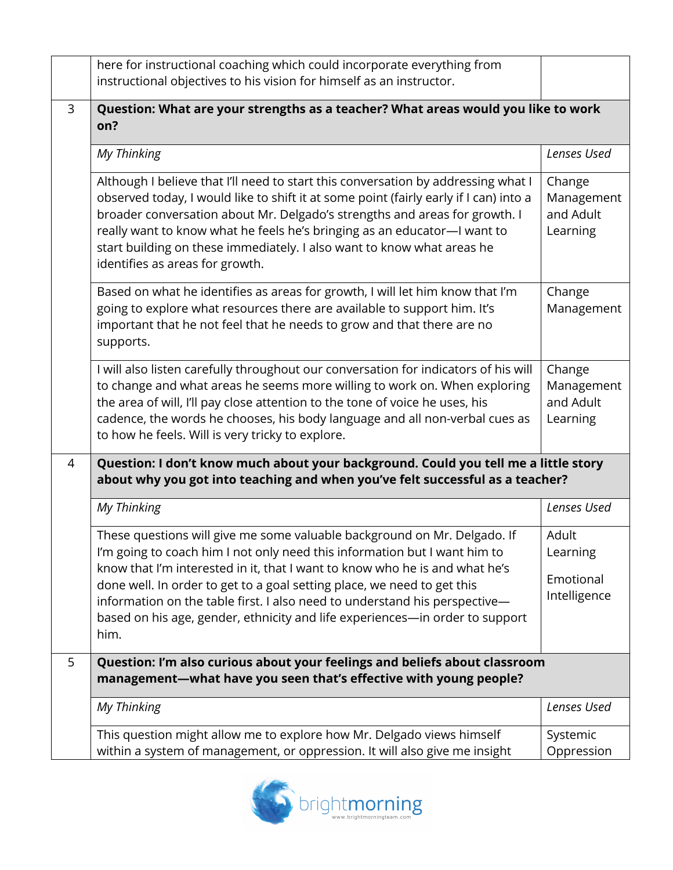|                | here for instructional coaching which could incorporate everything from<br>instructional objectives to his vision for himself as an instructor.                                                                                                                                                                                                                                                                                                                                       |                                                                                     |  |
|----------------|---------------------------------------------------------------------------------------------------------------------------------------------------------------------------------------------------------------------------------------------------------------------------------------------------------------------------------------------------------------------------------------------------------------------------------------------------------------------------------------|-------------------------------------------------------------------------------------|--|
| 3              | Question: What are your strengths as a teacher? What areas would you like to work<br>on?                                                                                                                                                                                                                                                                                                                                                                                              |                                                                                     |  |
|                | My Thinking                                                                                                                                                                                                                                                                                                                                                                                                                                                                           | Lenses Used                                                                         |  |
|                | Although I believe that I'll need to start this conversation by addressing what I<br>observed today, I would like to shift it at some point (fairly early if I can) into a<br>broader conversation about Mr. Delgado's strengths and areas for growth. I<br>really want to know what he feels he's bringing as an educator-I want to<br>start building on these immediately. I also want to know what areas he<br>identifies as areas for growth.                                     | Change<br>Management<br>and Adult<br>Learning                                       |  |
|                | Based on what he identifies as areas for growth, I will let him know that I'm<br>going to explore what resources there are available to support him. It's<br>important that he not feel that he needs to grow and that there are no<br>supports.                                                                                                                                                                                                                                      | Change<br>Management                                                                |  |
|                | I will also listen carefully throughout our conversation for indicators of his will<br>to change and what areas he seems more willing to work on. When exploring<br>the area of will, I'll pay close attention to the tone of voice he uses, his<br>cadence, the words he chooses, his body language and all non-verbal cues as<br>to how he feels. Will is very tricky to explore.                                                                                                   | Change<br>Management<br>and Adult<br>Learning                                       |  |
| $\overline{4}$ | about why you got into teaching and when you've felt successful as a teacher?                                                                                                                                                                                                                                                                                                                                                                                                         | Question: I don't know much about your background. Could you tell me a little story |  |
|                | My Thinking                                                                                                                                                                                                                                                                                                                                                                                                                                                                           | Lenses Used                                                                         |  |
|                | These questions will give me some valuable background on Mr. Delgado. If<br>I'm going to coach him I not only need this information but I want him to<br>know that I'm interested in it, that I want to know who he is and what he's<br>done well. In order to get to a goal setting place, we need to get this<br>information on the table first. I also need to understand his perspective-<br>based on his age, gender, ethnicity and life experiences-in order to support<br>him. | Adult<br>Learning<br>Emotional<br>Intelligence                                      |  |
| 5              | Question: I'm also curious about your feelings and beliefs about classroom<br>management-what have you seen that's effective with young people?                                                                                                                                                                                                                                                                                                                                       |                                                                                     |  |
|                | My Thinking                                                                                                                                                                                                                                                                                                                                                                                                                                                                           | Lenses Used                                                                         |  |
|                | This question might allow me to explore how Mr. Delgado views himself<br>within a system of management, or oppression. It will also give me insight                                                                                                                                                                                                                                                                                                                                   | Systemic<br>Oppression                                                              |  |